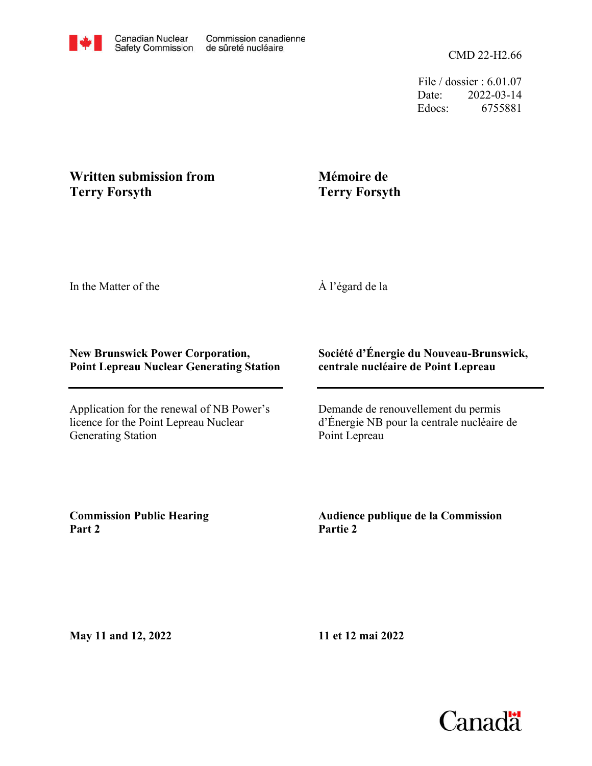File / dossier : 6.01.07 Date: 2022-03-14 Edocs: 6755881

## **Written submission from Terry Forsyth**

## **Mémoire de Terry Forsyth**

In the Matter of the

À l'égard de la

## **New Brunswick Power Corporation, Point Lepreau Nuclear Generating Station**

Application for the renewal of NB Power's licence for the Point Lepreau Nuclear Generating Station

## **Société d'Énergie du Nouveau-Brunswick, centrale nucléaire de Point Lepreau**

Demande de renouvellement du permis d'Énergie NB pour la centrale nucléaire de Point Lepreau

**Commission Public Hearing Part 2**

**Audience publique de la Commission Partie 2**

**May 11 and 12, 2022**

**11 et 12 mai 2022**